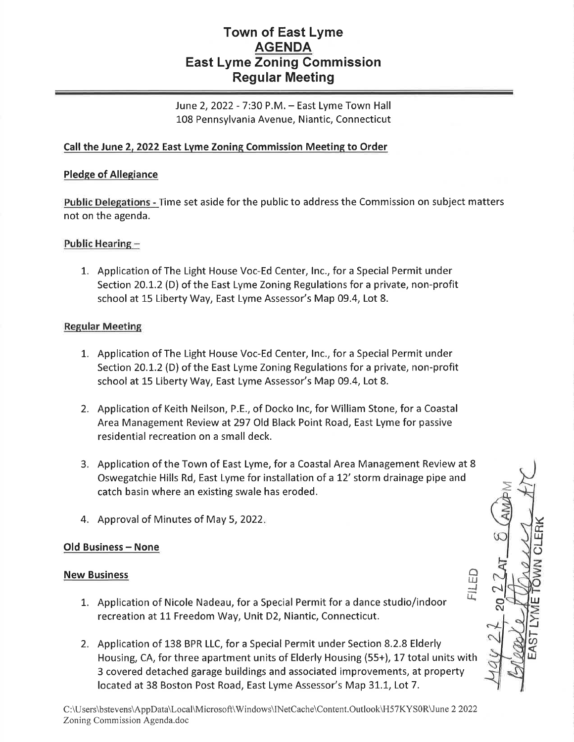# Town of East Lyme **AGENDA** East Lyme Zoning Commission Regular Meeting

June 2, 2022 - 7:30 P.M. - East Lyme Town Hall L08 Pennsylvania Avenue, Niantic, Connecticut

## Call the June 2, 2022 East Lyme Zoning Commission Meeting to Order

### Pledge of Allegiance

Public Delegations - Time set aside for the public to address the Commission on subject matters not on the agenda.

## Public Hearing -

1. Application of The Light House Voc-Ed Center, Inc., for a Special Permit under Section 20.I.2 (D) of the East Lyme Zoning Regulations for a private, non-profit school at 15 Liberty Way, East Lyme Assessor's Map 09.4, Lot 8.

#### Regular Meeting

- 1. Application of The Light House Voc-Ed Center, Inc., for a Special Permit under Section 20.L.2 (D) of the East Lyme Zoning Regulations for a private, non-profit school at 15 Liberty Way, East Lyme Assessor's Map 09.4, Lot 8.
- 2. Application of Keith Neilson, P.E., of Docko lnc, for William Stone, for a Coastal Area Management Review at297 Old Black Point Road, East Lyme for passive residential recreation on a small deck.
- 3. Application of the Town of East Lyme, for a Coastal Area Management Review at <sup>8</sup> Oswegatchie Hills Rd, East Lyme for installation of a L2' storm drainage pipe and catch basin where an existing swale has eroded.

 $\overline{\text{RK}}$ IJJ J o

TU

 $\mathcal{C}$ o  $\breve{\mathbf{v}}$ 

o IIJJ i<br>I

> $\overline{F}$  $\omega$ UJ

4. Approval of Minutes of May 5,2022

#### Old Business - None

#### New Business

- 1. Application of Nicole Nadeau, for a Special Permit for a dance studio/indoor recreation at 11 Freedom Way, Unit D2, Niantic, Connecticut.
- 2. Application of 138 BPR LLC, for a Special Permit under Section 8.2.8 Elderly Housing, CA, for three apartment units of Elderly Housing (55+), 17 total units with 3 covered detached garage buildings and associated improvements, at property located at 38 Boston Post Road, East Lyme Assessor's Map 31.1, Lot 7.

C:\Users\bstevens\AppData\Local\Microsoft\Windows\lNetCache\Content.Outlook\H57KYS0R\June 2 2022 Zoning Commission Agenda.doc